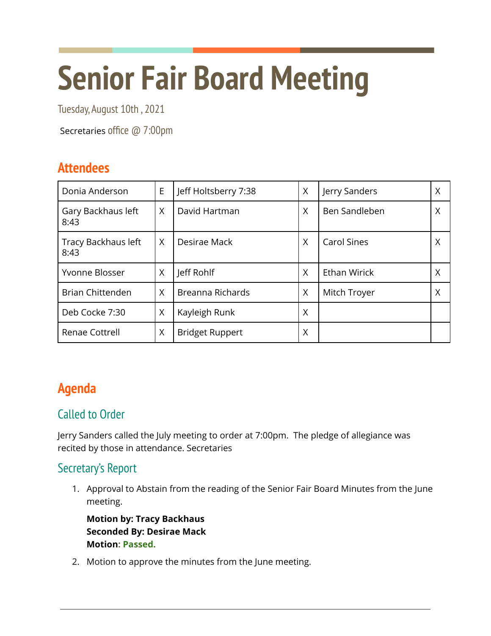# **Senior Fair Board Meeting**

Tuesday, August 10th , 2021

Secretaries office @ 7:00pm

## **Attendees**

| Donia Anderson              | E | Jeff Holtsberry 7:38   | X | Jerry Sanders      | Χ |
|-----------------------------|---|------------------------|---|--------------------|---|
| Gary Backhaus left<br>8:43  | X | David Hartman          | X | Ben Sandleben      | X |
| Tracy Backhaus left<br>8:43 | X | Desirae Mack           | X | <b>Carol Sines</b> | ∧ |
| Yvonne Blosser              | X | Jeff Rohlf             | X | Ethan Wirick       | Χ |
| <b>Brian Chittenden</b>     | X | Breanna Richards       | X | Mitch Troyer       | X |
| Deb Cocke 7:30              | X | Kayleigh Runk          | X |                    |   |
| Renae Cottrell              | X | <b>Bridget Ruppert</b> | X |                    |   |

# **Agenda**

## Called to Order

Jerry Sanders called the July meeting to order at 7:00pm. The pledge of allegiance was recited by those in attendance. Secretaries

## Secretary's Report

1. Approval to Abstain from the reading of the Senior Fair Board Minutes from the June meeting.

**Motion by: Tracy Backhaus Seconded By: Desirae Mack Motion: Passed.**

2. Motion to approve the minutes from the June meeting.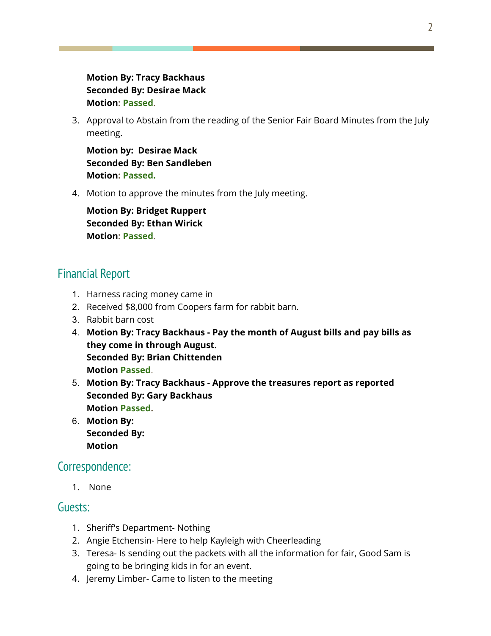#### **Motion By: Tracy Backhaus Seconded By: Desirae Mack Motion: Passed**.

3. Approval to Abstain from the reading of the Senior Fair Board Minutes from the July meeting.

**Motion by: Desirae Mack Seconded By: Ben Sandleben Motion: Passed.**

4. Motion to approve the minutes from the July meeting.

**Motion By: Bridget Ruppert Seconded By: Ethan Wirick Motion: Passed**.

## Financial Report

- 1. Harness racing money came in
- 2. Received \$8,000 from Coopers farm for rabbit barn.
- 3. Rabbit barn cost
- 4. **Motion By: Tracy Backhaus - Pay the month of August bills and pay bills as they come in through August. Seconded By: Brian Chittenden Motion Passed**.
- 5. **Motion By: Tracy Backhaus - Approve the treasures report as reported Seconded By: Gary Backhaus Motion Passed.**
- 6. **Motion By: Seconded By: Motion**

#### Correspondence:

1. None

#### Guests:

- 1. Sheriff's Department- Nothing
- 2. Angie Etchensin- Here to help Kayleigh with Cheerleading
- 3. Teresa- Is sending out the packets with all the information for fair, Good Sam is going to be bringing kids in for an event.
- 4. Jeremy Limber- Came to listen to the meeting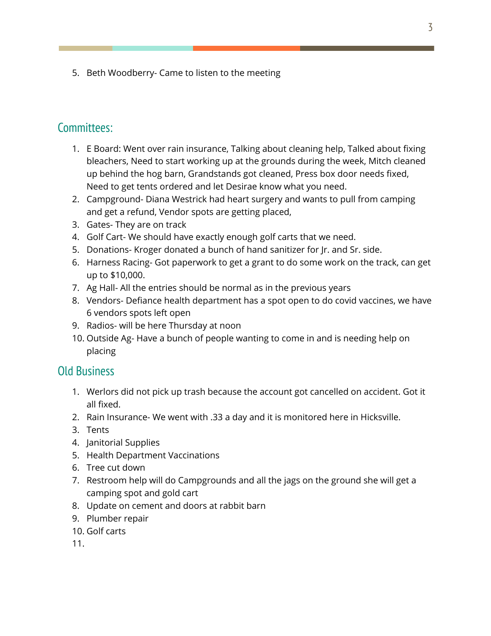5. Beth Woodberry- Came to listen to the meeting

#### Committees:

- 1. E Board: Went over rain insurance, Talking about cleaning help, Talked about fixing bleachers, Need to start working up at the grounds during the week, Mitch cleaned up behind the hog barn, Grandstands got cleaned, Press box door needs fixed, Need to get tents ordered and let Desirae know what you need.
- 2. Campground- Diana Westrick had heart surgery and wants to pull from camping and get a refund, Vendor spots are getting placed,
- 3. Gates- They are on track
- 4. Golf Cart- We should have exactly enough golf carts that we need.
- 5. Donations- Kroger donated a bunch of hand sanitizer for Jr. and Sr. side.
- 6. Harness Racing- Got paperwork to get a grant to do some work on the track, can get up to \$10,000.
- 7. Ag Hall- All the entries should be normal as in the previous years
- 8. Vendors- Defiance health department has a spot open to do covid vaccines, we have 6 vendors spots left open
- 9. Radios- will be here Thursday at noon
- 10. Outside Ag- Have a bunch of people wanting to come in and is needing help on placing

#### Old Business

- 1. Werlors did not pick up trash because the account got cancelled on accident. Got it all fixed.
- 2. Rain Insurance- We went with .33 a day and it is monitored here in Hicksville.
- 3. Tents
- 4. Janitorial Supplies
- 5. Health Department Vaccinations
- 6. Tree cut down
- 7. Restroom help will do Campgrounds and all the jags on the ground she will get a camping spot and gold cart
- 8. Update on cement and doors at rabbit barn
- 9. Plumber repair
- 10. Golf carts

11.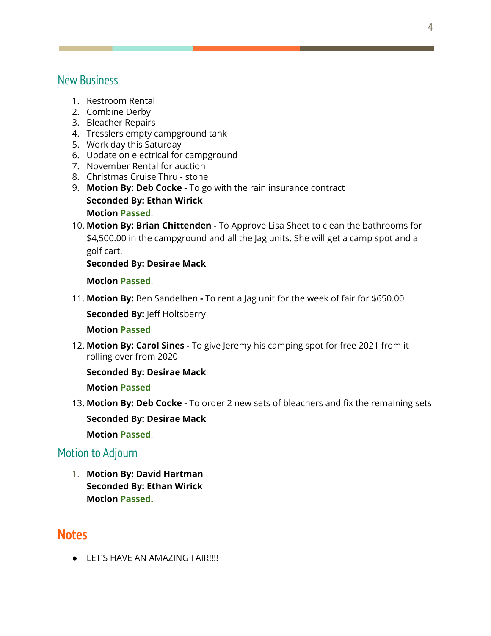#### New Business

- 1. Restroom Rental
- 2. Combine Derby
- 3. Bleacher Repairs
- 4. Tresslers empty campground tank
- 5. Work day this Saturday
- 6. Update on electrical for campground
- 7. November Rental for auction
- 8. Christmas Cruise Thru stone
- 9. **Motion By: Deb Cocke -** To go with the rain insurance contract **Seconded By: Ethan Wirick Motion Passed**.
- 10. **Motion By: Brian Chittenden -** To Approve Lisa Sheet to clean the bathrooms for \$4,500.00 in the campground and all the Jag units. She will get a camp spot and a golf cart.

**Seconded By: Desirae Mack**

**Motion Passed**.

11. **Motion By:** Ben Sandelben **-** To rent a Jag unit for the week of fair for \$650.00

**Seconded By:** Jeff Holtsberry

#### **Motion Passed**

12. **Motion By: Carol Sines -** To give Jeremy his camping spot for free 2021 from it rolling over from 2020

**Seconded By: Desirae Mack**

**Motion Passed**

13. **Motion By: Deb Cocke -** To order 2 new sets of bleachers and fix the remaining sets **Seconded By: Desirae Mack**

**Motion Passed**.

#### Motion to Adjourn

1. **Motion By: David Hartman Seconded By: Ethan Wirick Motion Passed.**

## **Notes**

**•** LET'S HAVE AN AMAZING FAIR!!!!